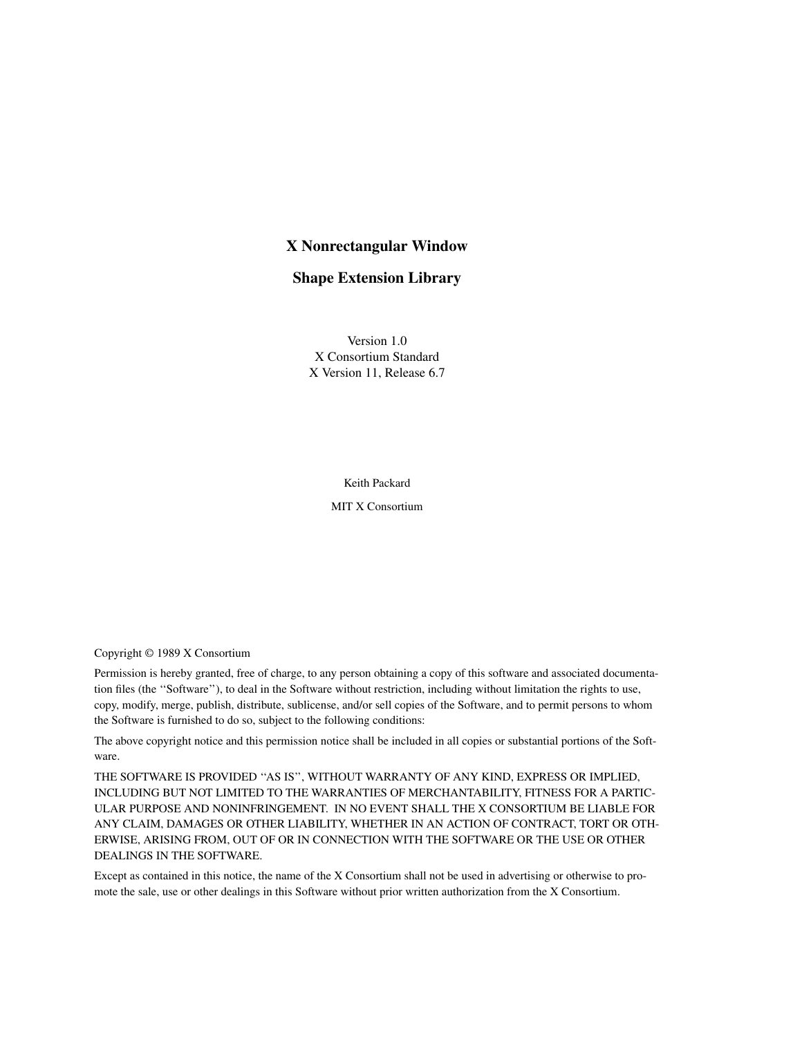# **X Nonrectangular Window**

## **Shape Extension Library**

Version 1.0 X Consortium Standard X Version 11, Release 6.7

Keith Packard

MIT X Consortium

Copyright © 1989 X Consortium

Permission is hereby granted, free of charge, to any person obtaining a copy of this software and associated documentation files (the ''Software''), to deal in the Software without restriction, including without limitation the rights to use, copy, modify, merge, publish, distribute, sublicense, and/or sell copies of the Software, and to permit persons to whom the Software is furnished to do so, subject to the following conditions:

The above copyright notice and this permission notice shall be included in all copies or substantial portions of the Software.

THE SOFTWARE IS PROVIDED ''AS IS'', WITHOUT WARRANTY OF ANY KIND, EXPRESS OR IMPLIED, INCLUDING BUT NOT LIMITED TO THE WARRANTIES OF MERCHANTABILITY, FITNESS FOR A PARTIC-ULAR PURPOSE AND NONINFRINGEMENT. IN NO EVENT SHALL THE X CONSORTIUM BE LIABLE FOR ANY CLAIM, DAMAGES OR OTHER LIABILITY, WHETHER IN AN ACTION OF CONTRACT, TORT OR OTH-ERWISE, ARISING FROM, OUT OF OR IN CONNECTION WITH THE SOFTWARE OR THE USE OR OTHER DEALINGS IN THE SOFTWARE.

Except as contained in this notice, the name of the X Consortium shall not be used in advertising or otherwise to promote the sale, use or other dealings in this Software without prior written authorization from the X Consortium.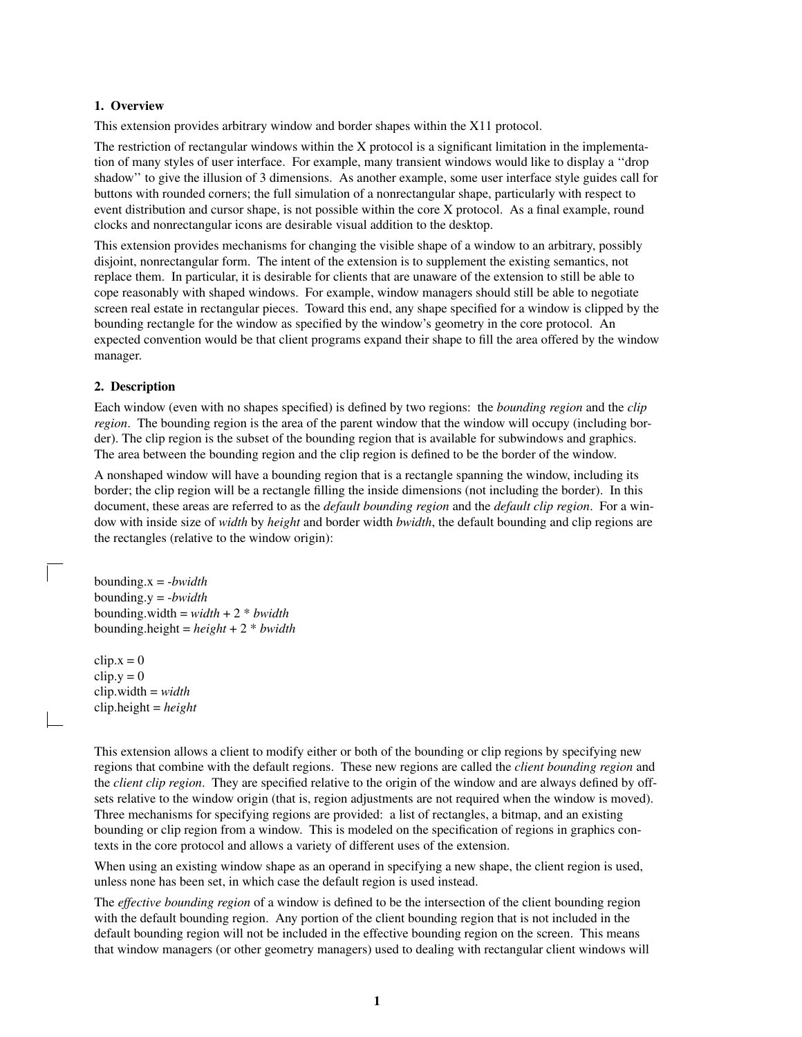## **1. Overview**

This extension provides arbitrary window and border shapes within the X11 protocol.

The restriction of rectangular windows within the X protocol is a significant limitation in the implementation of many styles of user interface. For example, many transient windows would like to display a ''drop shadow" to give the illusion of 3 dimensions. As another example, some user interface style guides call for buttons with rounded corners; the full simulation of a nonrectangular shape, particularly with respect to event distribution and cursor shape, is not possible within the core X protocol. As a final example, round clocks and nonrectangular icons are desirable visual addition to the desktop.

This extension provides mechanisms for changing the visible shape of a window to an arbitrary, possibly disjoint, nonrectangular form. The intent of the extension is to supplement the existing semantics, not replace them. In particular, it is desirable for clients that are unaware of the extension to still be able to cope reasonably with shaped windows. For example, window managers should still be able to negotiate screen real estate in rectangular pieces. Toward this end, any shape specified for a window is clipped by the bounding rectangle for the window as specified by the window's geometry in the core protocol. An expected convention would be that client programs expand their shape to fill the area offered by the window manager.

## **2. Description**

Each window (even with no shapes specified) is defined by two regions: the *bounding region* and the *clip region*. The bounding region is the area of the parent window that the window will occupy (including border). The clip region is the subset of the bounding region that is available for subwindows and graphics. The area between the bounding region and the clip region is defined to be the border of the window.

A nonshaped window will have a bounding region that is a rectangle spanning the window, including its border; the clip region will be a rectangle filling the inside dimensions (not including the border). In this document, these areas are referred to as the *default bounding region* and the *default clip region*. For a window with inside size of *width* by *height* and border width *bwidth*, the default bounding and clip regions are the rectangles (relative to the window origin):

bounding.x = -*bwidth* bounding.y = -*bwidth* bounding.width =  $width + 2 * bwidth$ bounding.height = *height* +2\* *bwidth*

 $clip.x = 0$  $clip.y = 0$ clip.width = *width* clip.height = *height*

This extension allows a client to modify either or both of the bounding or clip regions by specifying new regions that combine with the default regions. These new regions are called the *client bounding region* and the *client clip region*. They are specified relative to the origin of the window and are always defined by offsets relative to the window origin (that is, region adjustments are not required when the window is moved). Three mechanisms for specifying regions are provided: a list of rectangles, a bitmap, and an existing bounding or clip region from a window. This is modeled on the specification of regions in graphics contexts in the core protocol and allows a variety of different uses of the extension.

When using an existing window shape as an operand in specifying a new shape, the client region is used, unless none has been set, in which case the default region is used instead.

The *effective bounding region* of a window is defined to be the intersection of the client bounding region with the default bounding region. Any portion of the client bounding region that is not included in the default bounding region will not be included in the effective bounding region on the screen. This means that window managers (or other geometry managers) used to dealing with rectangular client windows will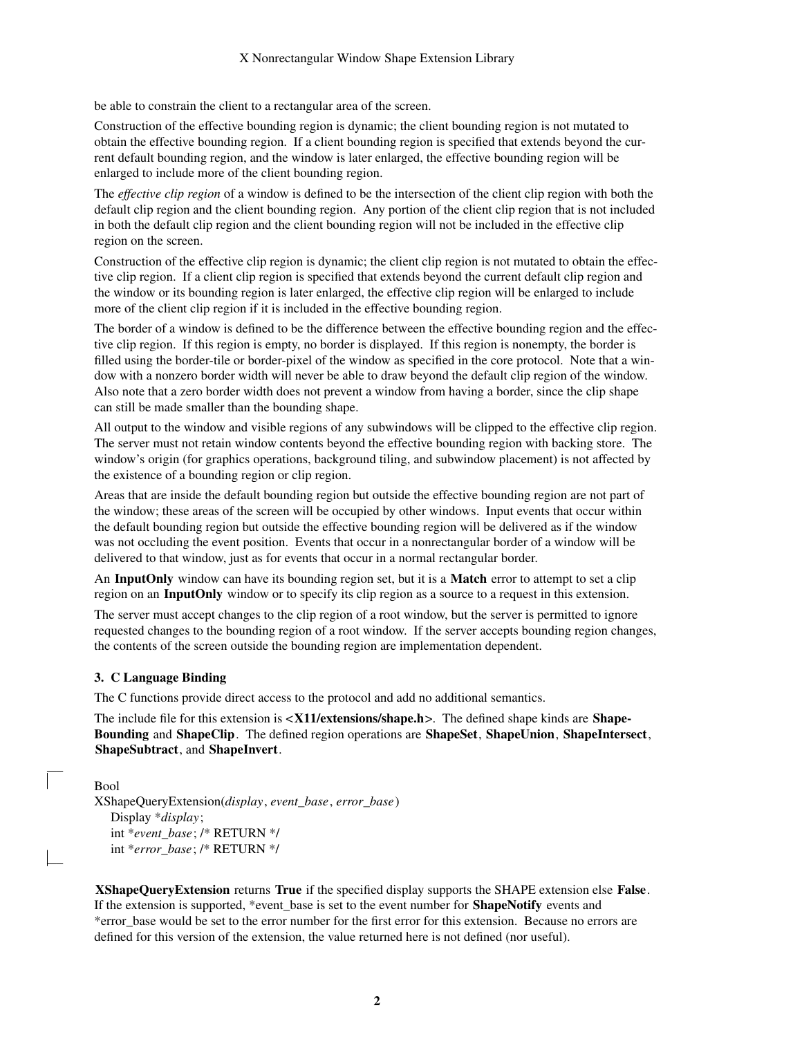be able to constrain the client to a rectangular area of the screen.

Construction of the effective bounding region is dynamic; the client bounding region is not mutated to obtain the effective bounding region. If a client bounding region is specified that extends beyond the current default bounding region, and the window is later enlarged, the effective bounding region will be enlarged to include more of the client bounding region.

The *effective clip region* of a window is defined to be the intersection of the client clip region with both the default clip region and the client bounding region. Any portion of the client clip region that is not included in both the default clip region and the client bounding region will not be included in the effective clip region on the screen.

Construction of the effective clip region is dynamic; the client clip region is not mutated to obtain the effective clip region. If a client clip region is specified that extends beyond the current default clip region and the window or its bounding region is later enlarged, the effective clip region will be enlarged to include more of the client clip region if it is included in the effective bounding region.

The border of a window is defined to be the difference between the effective bounding region and the effective clip region. If this region is empty, no border is displayed. If this region is nonempty, the border is filled using the border-tile or border-pixel of the window as specified in the core protocol. Note that a window with a nonzero border width will never be able to draw beyond the default clip region of the window. Also note that a zero border width does not prevent a window from having a border, since the clip shape can still be made smaller than the bounding shape.

All output to the window and visible regions of any subwindows will be clipped to the effective clip region. The server must not retain window contents beyond the effective bounding region with backing store. The window's origin (for graphics operations, background tiling, and subwindow placement) is not affected by the existence of a bounding region or clip region.

Areas that are inside the default bounding region but outside the effective bounding region are not part of the window; these areas of the screen will be occupied by other windows. Input events that occur within the default bounding region but outside the effective bounding region will be delivered as if the window was not occluding the event position. Events that occur in a nonrectangular border of a window will be delivered to that window, just as for events that occur in a normal rectangular border.

An **InputOnly** window can have its bounding region set, but it is a **Match** error to attempt to set a clip region on an **InputOnly** window or to specify its clip region as a source to a request in this extension.

The server must accept changes to the clip region of a root window, but the server is permitted to ignore requested changes to the bounding region of a root window. If the server accepts bounding region changes, the contents of the screen outside the bounding region are implementation dependent.

### **3. C Language Binding**

The C functions provide direct access to the protocol and add no additional semantics.

The include file for this extension is <**X11/extensions/shape.h**>. The defined shape kinds are **Shape-Bounding** and **ShapeClip**. The defined region operations are **ShapeSet**, **ShapeUnion**, **ShapeIntersect**, **ShapeSubtract**, and **ShapeInvert**.

Bool

XShapeQueryExtension(*display*, *event\_base*, *error\_base*) Display \**display*; int \**event\_base*; /\* RETURN \*/ int \**error\_base*; /\* RETURN \*/

**XShapeQueryExtension** returns **True** if the specified display supports the SHAPE extension else **False**. If the extension is supported, \*event\_base is set to the event number for **ShapeNotify** events and \*error\_base would be set to the error number for the first error for this extension. Because no errors are defined for this version of the extension, the value returned here is not defined (nor useful).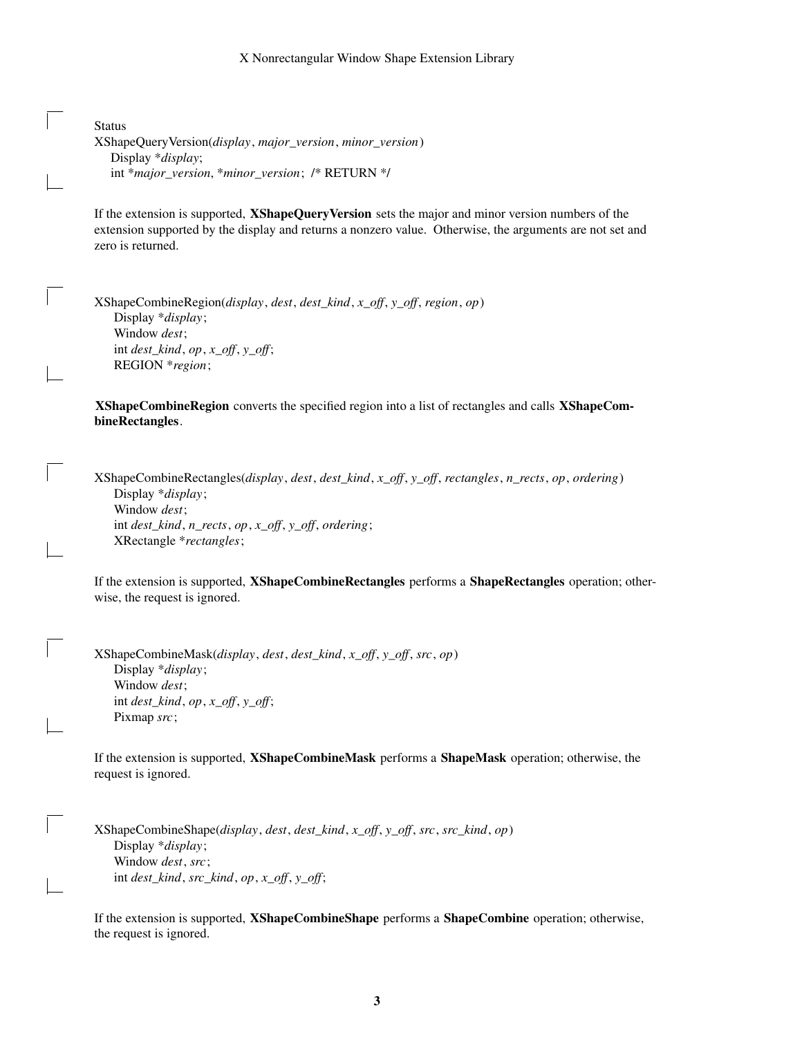#### X Nonrectangular Window Shape Extension Library

| <b>Status</b>                                             |
|-----------------------------------------------------------|
| XShapeQueryVersion(display, major_version, minor_version) |
| Display $*display$ ;                                      |
| int *major_version, *minor_version; /* RETURN */          |

If the extension is supported, **XShapeQueryVersion** sets the major and minor version numbers of the extension supported by the display and returns a nonzero value. Otherwise, the arguments are not set and zero is returned.

XShapeCombineRegion(*display*, *dest*, *dest\_kind*, *x\_off*, *y\_off*, *region*, *op*) Display \**display*; Window *dest*; int *dest\_kind*, *op*, *x\_off*, *y\_off*; REGION \**region*;

**XShapeCombineRegion** converts the specified region into a list of rectangles and calls **XShapeCombineRectangles**.

XShapeCombineRectangles(*display*, *dest*, *dest\_kind*, *x\_off*, *y\_off*, *rectangles*, *n\_rects*, *op*, *ordering*) Display \**display*; Window *dest*; int *dest\_kind*, *n\_rects*, *op*, *x\_off*, *y\_off*, *ordering*; XRectangle \**rectangles*;

If the extension is supported, **XShapeCombineRectangles** performs a **ShapeRectangles** operation; otherwise, the request is ignored.

XShapeCombineMask(*display*, *dest*, *dest\_kind*, *x\_off*, *y\_off*, *src*, *op*) Display \**display*; Window *dest*; int *dest\_kind*, *op*, *x\_off*, *y\_off*; Pixmap *src*;

If the extension is supported, **XShapeCombineMask** performs a **ShapeMask** operation; otherwise, the request is ignored.

XShapeCombineShape(*display*, *dest*, *dest\_kind*, *x\_off*, *y\_off*, *src*, *src\_kind*, *op*) Display \**display*; Window *dest*, *src*; int *dest\_kind*, *src\_kind*, *op*, *x\_off*, *y\_off*;

If the extension is supported, **XShapeCombineShape** performs a **ShapeCombine** operation; otherwise, the request is ignored.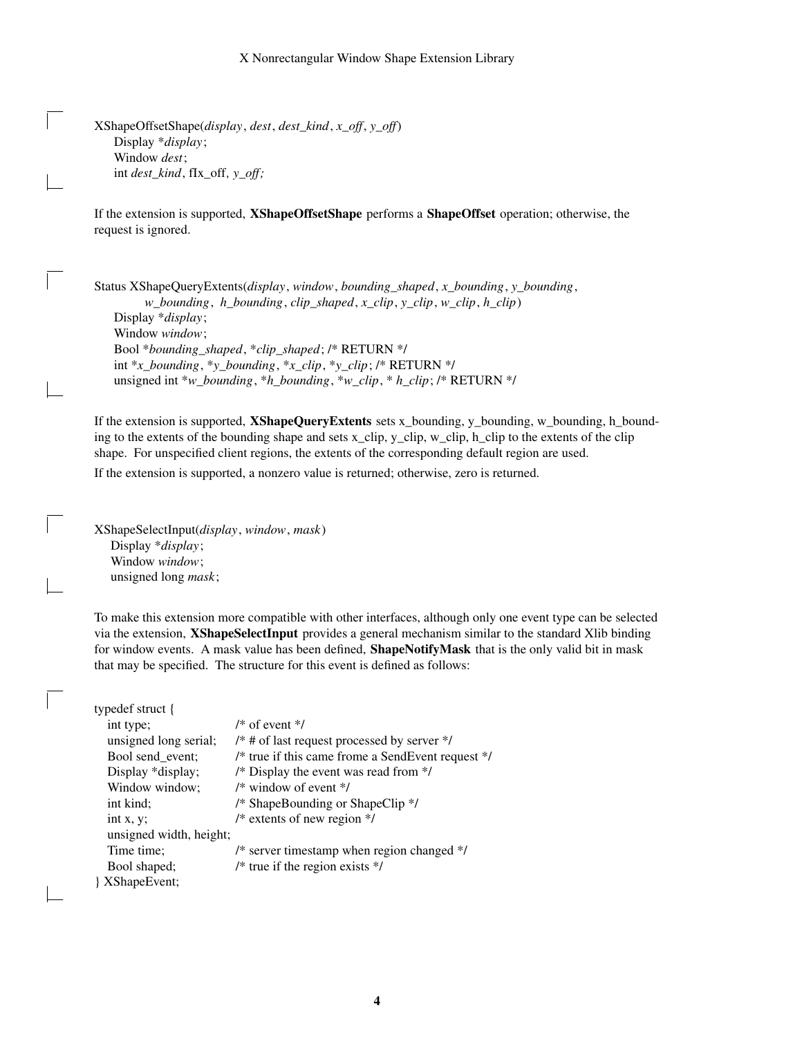XShapeOffsetShape(*display*, *dest*, *dest\_kind*, *x\_off*, *y\_off*) Display \**display*; Window *dest*; int *dest\_kind*, fIx\_off*, y\_off;*

If the extension is supported, **XShapeOffsetShape** performs a **ShapeOffset** operation; otherwise, the request is ignored.

Status XShapeQueryExtents(*display*, *window*, *bounding\_shaped*, *x\_bounding*, *y\_bounding*, *w\_bounding*, *h\_bounding*, *clip\_shaped*, *x\_clip*, *y\_clip*, *w\_clip*, *h\_clip*) Display \**display*; Window *window*; Bool \**bounding\_shaped*, \**clip\_shaped*; /\* RETURN \*/ int \**x\_bounding*, \**y\_bounding*, \**x\_clip*, \**y\_clip*; /\* RETURN \*/ unsigned int \**w\_bounding*, \**h\_bounding*, \**w\_clip*, \* *h\_clip*; /\* RETURN \*/

If the extension is supported, **XShapeQueryExtents** sets x\_bounding, y\_bounding, w\_bounding, h\_bounding to the extents of the bounding shape and sets x\_clip, y\_clip, w\_clip, h\_clip to the extents of the clip shape. For unspecified client regions, the extents of the corresponding default region are used.

If the extension is supported, a nonzero value is returned; otherwise, zero is returned.

XShapeSelectInput(*display*, *window*, *mask*) Display \**display*; Window *window*; unsigned long *mask*;

To make this extension more compatible with other interfaces, although only one event type can be selected via the extension, **XShapeSelectInput** provides a general mechanism similar to the standard Xlib binding for window events. A mask value has been defined, **ShapeNotifyMask** that is the only valid bit in mask that may be specified. The structure for this event is defined as follows:

| typedef struct {        |                                                   |
|-------------------------|---------------------------------------------------|
| int type;               | $/*$ of event $*/$                                |
| unsigned long serial;   | $/*$ # of last request processed by server */     |
| Bool send_event;        | /* true if this came frome a SendEvent request */ |
| Display *display;       | /* Display the event was read from */             |
| Window window;          | $/*$ window of event $*/$                         |
| int kind;               | /* ShapeBounding or ShapeClip */                  |
| int $x, y$ ;            | /* extents of new region $*/$                     |
| unsigned width, height; |                                                   |
| Time time:              | /* server timestamp when region changed */        |
| Bool shaped;            | $/*$ true if the region exists $*/$               |
| { XShape Event;         |                                                   |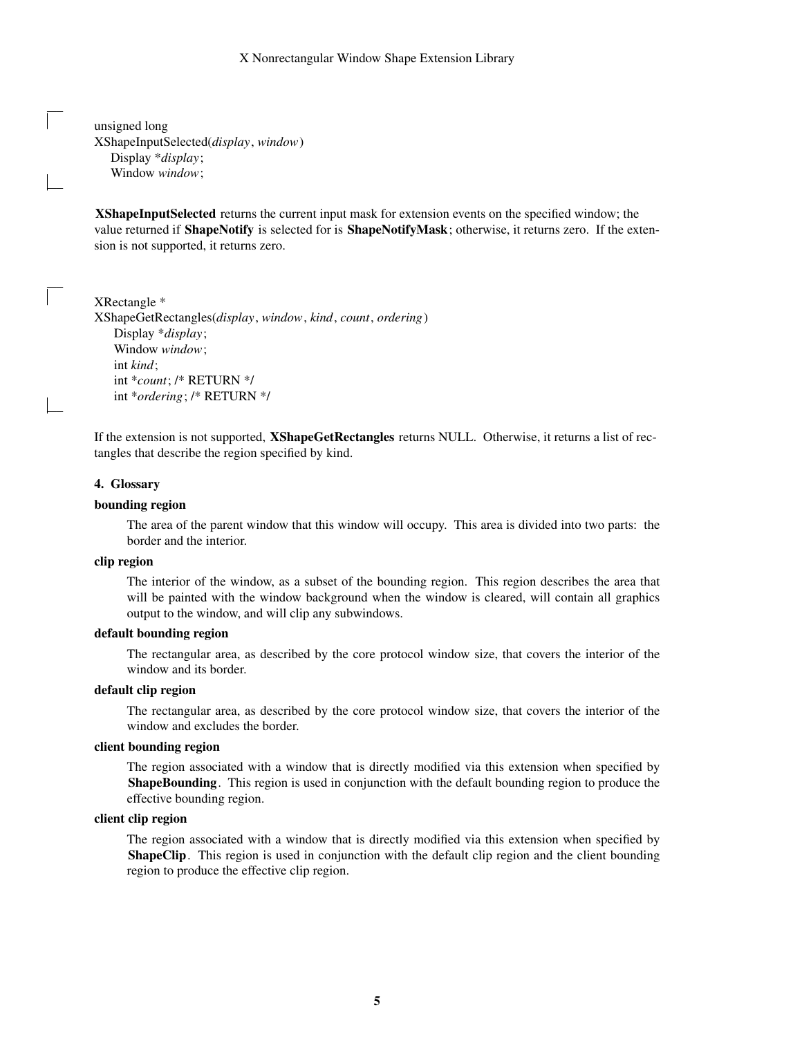#### X Nonrectangular Window Shape Extension Library

unsigned long XShapeInputSelected(*display*, *window*) Display \**display*; Window *window*;

**XShapeInputSelected** returns the current input mask for extension events on the specified window; the value returned if **ShapeNotify** is selected for is **ShapeNotifyMask**; otherwise, it returns zero. If the extension is not supported, it returns zero.

XRectangle \* XShapeGetRectangles(*display*, *window*, *kind*, *count*, *ordering*) Display \**display*; Window *window*; int *kind*; int \**count*; /\* RETURN \*/ int \**ordering*; /\* RETURN \*/

If the extension is not supported, **XShapeGetRectangles** returns NULL. Otherwise, it returns a list of rectangles that describe the region specified by kind.

#### **4. Glossary**

## **bounding region**

The area of the parent window that this window will occupy. This area is divided into two parts: the border and the interior.

## **clip region**

The interior of the window, as a subset of the bounding region. This region describes the area that will be painted with the window background when the window is cleared, will contain all graphics output to the window, and will clip any subwindows.

#### **default bounding region**

The rectangular area, as described by the core protocol window size, that covers the interior of the window and its border.

#### **default clip region**

The rectangular area, as described by the core protocol window size, that covers the interior of the window and excludes the border.

#### **client bounding region**

The region associated with a window that is directly modified via this extension when specified by **ShapeBounding**. This region is used in conjunction with the default bounding region to produce the effective bounding region.

### **client clip region**

The region associated with a window that is directly modified via this extension when specified by **ShapeClip**. This region is used in conjunction with the default clip region and the client bounding region to produce the effective clip region.